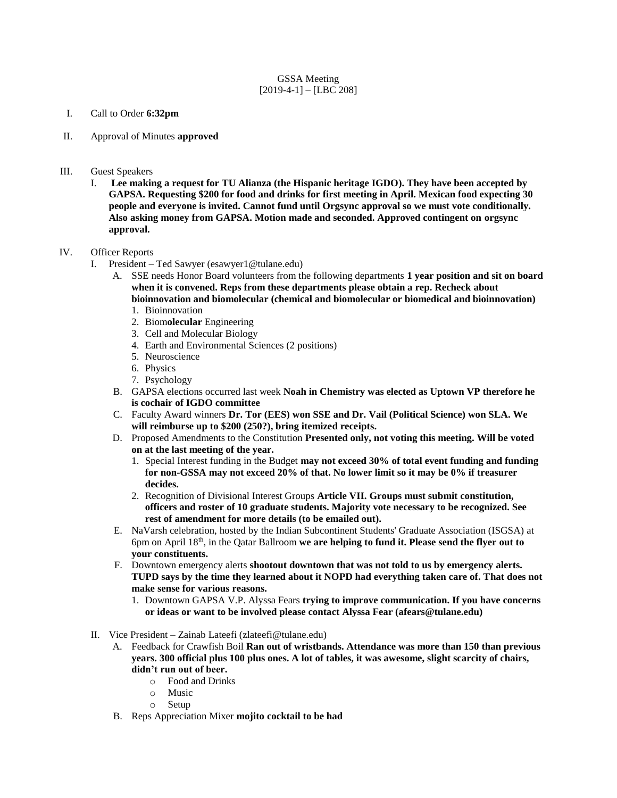## GSSA Meeting  $[2019-4-1] - [LBC 208]$

- I. Call to Order **6:32pm**
- II. Approval of Minutes **approved**
- III. Guest Speakers
	- I. **Lee making a request for TU Alianza (the Hispanic heritage IGDO). They have been accepted by GAPSA. Requesting \$200 for food and drinks for first meeting in April. Mexican food expecting 30 people and everyone is invited. Cannot fund until Orgsync approval so we must vote conditionally. Also asking money from GAPSA. Motion made and seconded. Approved contingent on orgsync approval.**

## IV. Officer Reports

- I. President Ted Sawyer (esawyer1@tulane.edu)
	- A. SSE needs Honor Board volunteers from the following departments **1 year position and sit on board when it is convened. Reps from these departments please obtain a rep. Recheck about bioinnovation and biomolecular (chemical and biomolecular or biomedical and bioinnovation)**
		- 1. Bioinnovation
		- 2. Biom**olecular** Engineering
		- 3. Cell and Molecular Biology
		- 4. Earth and Environmental Sciences (2 positions)
		- 5. Neuroscience
		- 6. Physics
		- 7. Psychology
	- B. GAPSA elections occurred last week **Noah in Chemistry was elected as Uptown VP therefore he is cochair of IGDO committee**
	- C. Faculty Award winners **Dr. Tor (EES) won SSE and Dr. Vail (Political Science) won SLA. We will reimburse up to \$200 (250?), bring itemized receipts.**
	- D. Proposed Amendments to the Constitution **Presented only, not voting this meeting. Will be voted on at the last meeting of the year.** 
		- 1. Special Interest funding in the Budget **may not exceed 30% of total event funding and funding for non-GSSA may not exceed 20% of that. No lower limit so it may be 0% if treasurer decides.**
		- 2. Recognition of Divisional Interest Groups **Article VII. Groups must submit constitution, officers and roster of 10 graduate students. Majority vote necessary to be recognized. See rest of amendment for more details (to be emailed out).**
	- E. NaVarsh celebration, hosted by the Indian Subcontinent Students' Graduate Association (ISGSA) at 6pm on April 18th, in the Qatar Ballroom **we are helping to fund it. Please send the flyer out to your constituents.**
	- F. Downtown emergency alerts **shootout downtown that was not told to us by emergency alerts. TUPD says by the time they learned about it NOPD had everything taken care of. That does not make sense for various reasons.** 
		- 1. Downtown GAPSA V.P. Alyssa Fears **trying to improve communication. If you have concerns or ideas or want to be involved please contact Alyssa Fear (afears@tulane.edu)**
- II. Vice President Zainab Lateefi (zlateefi@tulane.edu)
	- A. Feedback for Crawfish Boil **Ran out of wristbands. Attendance was more than 150 than previous years. 300 official plus 100 plus ones. A lot of tables, it was awesome, slight scarcity of chairs, didn't run out of beer.**
		- o Food and Drinks
		- o Music
		- o Setup
	- B. Reps Appreciation Mixer **mojito cocktail to be had**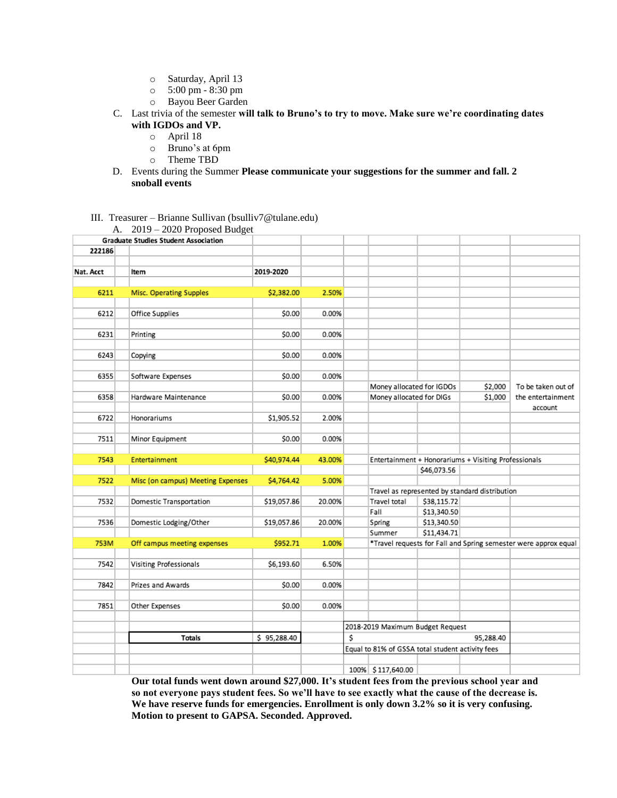- o Saturday, April 13
- o 5:00 pm 8:30 pm
- o Bayou Beer Garden
- C. Last trivia of the semester **will talk to Bruno's to try to move. Make sure we're coordinating dates with IGDOs and VP.** 
	- o April 18
	- o Bruno's at 6pm
	- o Theme TBD
- D. Events during the Summer **Please communicate your suggestions for the summer and fall. 2 snoball events**

#### III. Treasurer – Brianne Sullivan (bsulliv7@tulane.edu)  $\Delta = 2019 - 2020$  Proposed Budget

|           | A. $2019 - 2020$ Floposed Duaget            |             |        |                                                                     |                                                |             |         |                    |
|-----------|---------------------------------------------|-------------|--------|---------------------------------------------------------------------|------------------------------------------------|-------------|---------|--------------------|
|           | <b>Graduate Studies Student Association</b> |             |        |                                                                     |                                                |             |         |                    |
| 222186    |                                             |             |        |                                                                     |                                                |             |         |                    |
|           |                                             |             |        |                                                                     |                                                |             |         |                    |
| Nat. Acct | Item                                        | 2019-2020   |        |                                                                     |                                                |             |         |                    |
|           |                                             |             |        |                                                                     |                                                |             |         |                    |
| 6211      | Misc. Operating Supples                     | \$2,382.00  | 2.50%  |                                                                     |                                                |             |         |                    |
|           |                                             |             |        |                                                                     |                                                |             |         |                    |
| 6212      | Office Supplies                             | \$0.00      | 0.00%  |                                                                     |                                                |             |         |                    |
|           |                                             |             |        |                                                                     |                                                |             |         |                    |
| 6231      | Printing                                    | \$0.00      | 0.00%  |                                                                     |                                                |             |         |                    |
|           |                                             |             |        |                                                                     |                                                |             |         |                    |
| 6243      | Copying                                     | \$0.00      | 0.00%  |                                                                     |                                                |             |         |                    |
|           |                                             |             |        |                                                                     |                                                |             |         |                    |
| 6355      | Software Expenses                           | \$0.00      | 0.00%  |                                                                     |                                                |             |         |                    |
|           |                                             |             |        |                                                                     | Money allocated for IGDOs                      |             | \$2,000 | To be taken out of |
| 6358      | Hardware Maintenance                        | \$0.00      | 0.00%  |                                                                     | Money allocated for DIGs                       |             | \$1,000 | the entertainment  |
|           |                                             |             |        |                                                                     |                                                |             |         | account            |
| 6722      | Honorariums                                 | \$1,905.52  | 2.00%  |                                                                     |                                                |             |         |                    |
|           |                                             |             |        |                                                                     |                                                |             |         |                    |
| 7511      | Minor Equipment                             | \$0.00      | 0.00%  |                                                                     |                                                |             |         |                    |
|           |                                             |             |        |                                                                     |                                                |             |         |                    |
| 7543      | Entertainment                               | \$40,974.44 | 43.00% |                                                                     |                                                |             |         |                    |
|           |                                             |             |        | Entertainment + Honorariums + Visiting Professionals<br>\$46,073.56 |                                                |             |         |                    |
|           |                                             |             |        |                                                                     |                                                |             |         |                    |
| 7522      | Misc (on campus) Meeting Expenses           | \$4,764.42  | 5.00%  |                                                                     |                                                |             |         |                    |
|           |                                             |             |        |                                                                     | Travel as represented by standard distribution |             |         |                    |
| 7532      | Domestic Transportation                     | \$19,057.86 | 20.00% |                                                                     | Travel total                                   | \$38,115.72 |         |                    |
|           |                                             |             |        |                                                                     | Fall                                           | \$13,340.50 |         |                    |
| 7536      | Domestic Lodging/Other                      | \$19,057.86 | 20.00% |                                                                     | Spring                                         | \$13,340.50 |         |                    |
|           |                                             |             |        |                                                                     | Summer                                         | \$11,434.71 |         |                    |
| 753M      | Off campus meeting expenses                 | \$952.71    | 1.00%  | *Travel requests for Fall and Spring semester were approx equal     |                                                |             |         |                    |
|           |                                             |             |        |                                                                     |                                                |             |         |                    |
| 7542      | Visiting Professionals                      | \$6,193.60  | 6.50%  |                                                                     |                                                |             |         |                    |
|           |                                             |             |        |                                                                     |                                                |             |         |                    |
| 7842      | Prizes and Awards                           | \$0.00      | 0.00%  |                                                                     |                                                |             |         |                    |
|           |                                             |             |        |                                                                     |                                                |             |         |                    |
| 7851      | Other Expenses                              | \$0.00      | 0.00%  |                                                                     |                                                |             |         |                    |
|           |                                             |             |        |                                                                     |                                                |             |         |                    |
|           |                                             |             |        | 2018-2019 Maximum Budget Request                                    |                                                |             |         |                    |
|           | Totals                                      | \$95,288.40 |        | \$<br>95,288.40                                                     |                                                |             |         |                    |
|           |                                             |             |        | Equal to 81% of GSSA total student activity fees                    |                                                |             |         |                    |
|           |                                             |             |        |                                                                     |                                                |             |         |                    |
|           |                                             |             |        |                                                                     | 100% \$117,640.00                              |             |         |                    |

**Our total funds went down around \$27,000. It's student fees from the previous school year and so not everyone pays student fees. So we'll have to see exactly what the cause of the decrease is. We have reserve funds for emergencies. Enrollment is only down 3.2% so it is very confusing. Motion to present to GAPSA. Seconded. Approved.**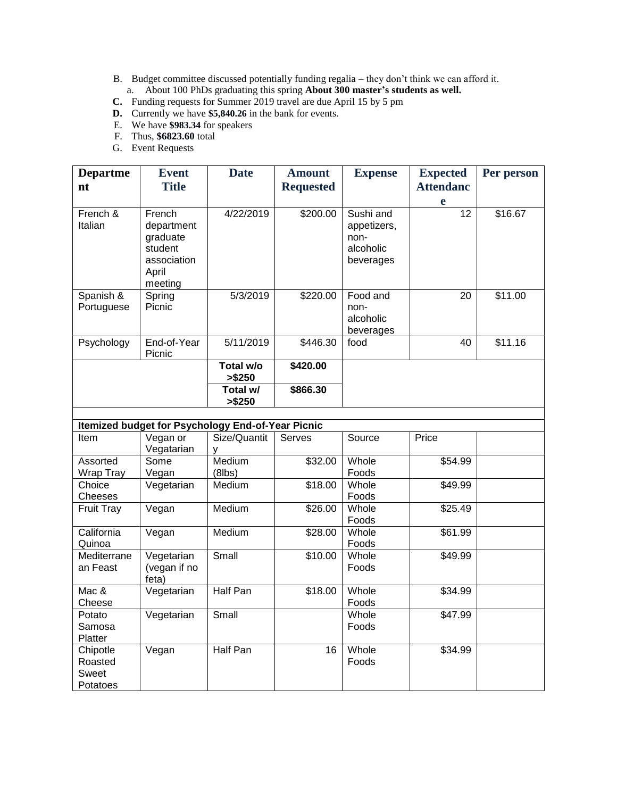- B. Budget committee discussed potentially funding regalia they don't think we can afford it.
	- a. About 100 PhDs graduating this spring **About 300 master's students as well.**
- **C.** Funding requests for Summer 2019 travel are due April 15 by 5 pm
- **D.** Currently we have **\$5,840.26** in the bank for events.
- E. We have **\$983.34** for speakers
- F. Thus, **\$6823.60** total
- G. Event Requests

| <b>Departme</b><br>nt                             | <b>Event</b><br><b>Title</b>                                                   | <b>Date</b>         | <b>Amount</b><br><b>Requested</b>         | <b>Expense</b>                                             | <b>Expected</b><br><b>Attendanc</b> | Per person |  |
|---------------------------------------------------|--------------------------------------------------------------------------------|---------------------|-------------------------------------------|------------------------------------------------------------|-------------------------------------|------------|--|
|                                                   |                                                                                |                     |                                           |                                                            | e                                   |            |  |
| French &<br>Italian                               | French<br>department<br>graduate<br>student<br>association<br>April<br>meeting | 4/22/2019           | \$200.00                                  | Sushi and<br>appetizers,<br>non-<br>alcoholic<br>beverages | 12                                  | \$16.67    |  |
| Spanish &<br>Portuguese                           | Spring<br>Picnic                                                               | 5/3/2019            | \$220.00                                  | Food and<br>non-<br>alcoholic<br>beverages                 | 20                                  | \$11.00    |  |
| Psychology                                        | End-of-Year<br>Picnic                                                          | 5/11/2019           | \$446.30                                  | food                                                       | 40                                  | \$11.16    |  |
|                                                   |                                                                                | Total w/o<br>>\$250 | \$420.00                                  |                                                            |                                     |            |  |
|                                                   |                                                                                | Total w/<br>>\$250  | \$866.30                                  |                                                            |                                     |            |  |
| Itemized budget for Psychology End-of-Year Picnic |                                                                                |                     |                                           |                                                            |                                     |            |  |
| $H \sim 2$                                        | $\frac{1}{2}$                                                                  | $C120/O1120$        | $C_{\alpha\beta\gamma\delta\gamma\delta}$ | $P_{\text{AllFOD}}$                                        | Drion                               |            |  |

| www.www<br>0. .u. . 0,0u.g., 2u. 0. .ou.uo |              |               |               |        |         |  |  |  |
|--------------------------------------------|--------------|---------------|---------------|--------|---------|--|--|--|
| ltem                                       | Vegan or     | Size/Quantit  | <b>Serves</b> | Source | Price   |  |  |  |
|                                            | Vegatarian   |               |               |        |         |  |  |  |
| Assorted                                   | Some         | Medium        | \$32.00       | Whole  | \$54.99 |  |  |  |
| Wrap Tray                                  | Vegan        | (8lbs)        |               | Foods  |         |  |  |  |
| Choice                                     | Vegetarian   | <b>Medium</b> | \$18.00       | Whole  | \$49.99 |  |  |  |
| Cheeses                                    |              |               |               | Foods  |         |  |  |  |
| <b>Fruit Tray</b>                          | Vegan        | Medium        | \$26.00       | Whole  | \$25.49 |  |  |  |
|                                            |              |               |               | Foods  |         |  |  |  |
| California                                 | Vegan        | Medium        | \$28.00       | Whole  | \$61.99 |  |  |  |
| Quinoa                                     |              |               |               | Foods  |         |  |  |  |
| Mediterrane                                | Vegetarian   | Small         | \$10.00       | Whole  | \$49.99 |  |  |  |
| an Feast                                   | (vegan if no |               |               | Foods  |         |  |  |  |
|                                            | feta)        |               |               |        |         |  |  |  |
| Mac &                                      | Vegetarian   | Half Pan      | \$18.00       | Whole  | \$34.99 |  |  |  |
| Cheese                                     |              |               |               | Foods  |         |  |  |  |
| Potato                                     | Vegetarian   | Small         |               | Whole  | \$47.99 |  |  |  |
| Samosa                                     |              |               |               | Foods  |         |  |  |  |
| <b>Platter</b>                             |              |               |               |        |         |  |  |  |
| Chipotle                                   | Vegan        | Half Pan      | 16            | Whole  | \$34.99 |  |  |  |
| Roasted                                    |              |               |               | Foods  |         |  |  |  |
| Sweet                                      |              |               |               |        |         |  |  |  |
| Potatoes                                   |              |               |               |        |         |  |  |  |